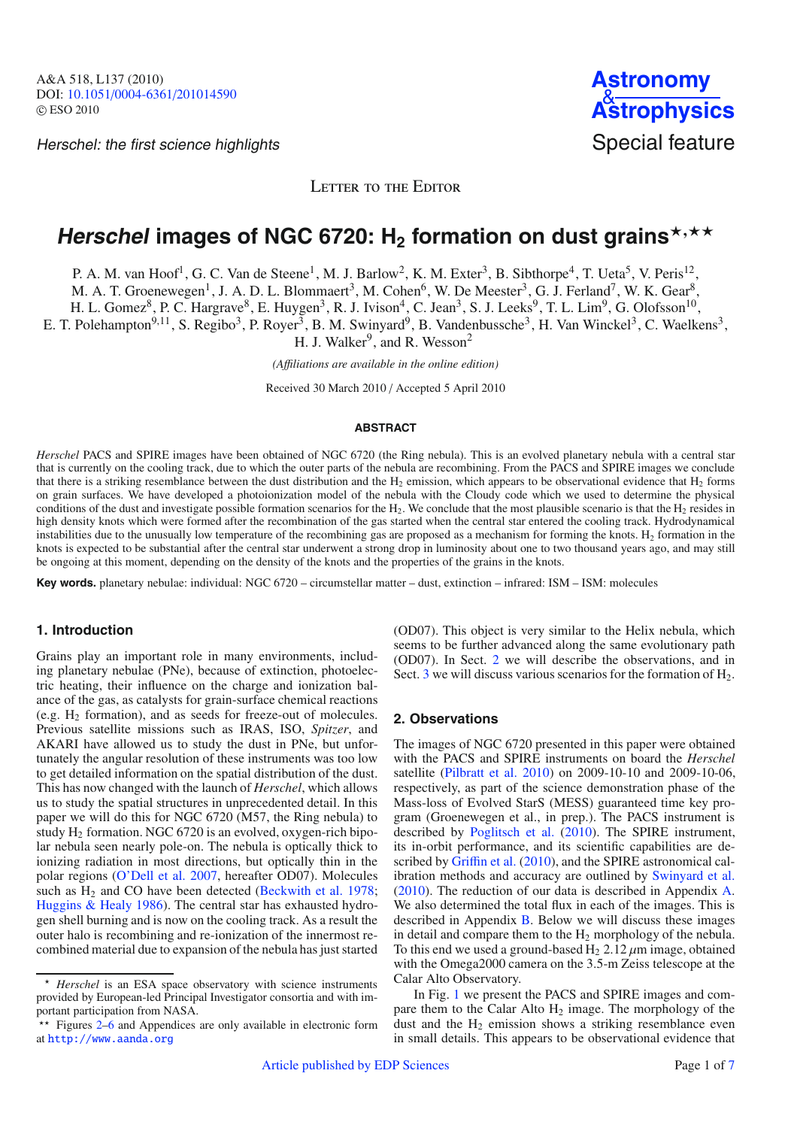Herschel: the first science highlights Special feature

LETTER TO THE EDITOR

# $Herschel$  images of NGC 6720:  $H_2$  formation on dust grains $^{\star, \star\star}$

P. A. M. van Hoof<sup>1</sup>, G. C. Van de Steene<sup>1</sup>, M. J. Barlow<sup>2</sup>, K. M. Exter<sup>3</sup>, B. Sibthorpe<sup>4</sup>, T. Ueta<sup>5</sup>, V. Peris<sup>12</sup>,

M. A. T. Groenewegen<sup>1</sup>, J. A. D. L. Blommaert<sup>3</sup>, M. Cohen<sup>6</sup>, W. De Meester<sup>3</sup>, G. J. Ferland<sup>7</sup>, W. K. Gear<sup>8</sup>,

H. L. Gomez<sup>8</sup>, P. C. Hargrave<sup>8</sup>, E. Huygen<sup>3</sup>, R. J. Ivison<sup>4</sup>, C. Jean<sup>3</sup>, S. J. Leeks<sup>9</sup>, T. L. Lim<sup>9</sup>, G. Olofsson<sup>10</sup>,

E. T. Polehampton<sup>9,11</sup>, S. Regibo<sup>3</sup>, P. Royer<sup>3</sup>, B. M. Swinyard<sup>9</sup>, B. Vandenbussche<sup>3</sup>, H. Van Winckel<sup>3</sup>, C. Waelkens<sup>3</sup>,

H. J. Walker<sup>9</sup>, and R. Wesson<sup>2</sup>

*(A*ffi*liations are available in the online edition)*

Received 30 March 2010 / Accepted 5 April 2010

#### **ABSTRACT**

*Herschel* PACS and SPIRE images have been obtained of NGC 6720 (the Ring nebula). This is an evolved planetary nebula with a central star that is currently on the cooling track, due to which the outer parts of the nebula are recombining. From the PACS and SPIRE images we conclude that there is a striking resemblance between the dust distribution and the  $H_2$  emission, which appears to be observational evidence that  $H_2$  forms on grain surfaces. We have developed a photoionization model of the nebula with the Cloudy code which we used to determine the physical conditions of the dust and investigate possible formation scenarios for the  $H_2$ . We conclude that the most plausible scenario is that the  $H_2$  resides in high density knots which were formed after the recombination of the gas started when the central star entered the cooling track. Hydrodynamical instabilities due to the unusually low temperature of the recombining gas are proposed as a mechanism for forming the knots.  $H_2$  formation in the knots is expected to be substantial after the central star underwent a strong drop in luminosity about one to two thousand years ago, and may still be ongoing at this moment, depending on the density of the knots and the properties of the grains in the knots.

**Key words.** planetary nebulae: individual: NGC 6720 – circumstellar matter – dust, extinction – infrared: ISM – ISM: molecules

### **1. Introduction**

Grains play an important role in many environments, including planetary nebulae (PNe), because of extinction, photoelectric heating, their influence on the charge and ionization balance of the gas, as catalysts for grain-surface chemical reactions (e.g.  $H_2$  formation), and as seeds for freeze-out of molecules. Previous satellite missions such as IRAS, ISO, *Spitzer*, and AKARI have allowed us to study the dust in PNe, but unfortunately the angular resolution of these instruments was too low to get detailed information on the spatial distribution of the dust. This has now changed with the launch of *Herschel*, which allows us to study the spatial structures in unprecedented detail. In this paper we will do this for NGC 6720 (M57, the Ring nebula) to study  $H_2$  formation. NGC 6720 is an evolved, oxygen-rich bipolar nebula seen nearly pole-on. The nebula is optically thick to ionizing radiation in most directions, but optically thin in the polar regions [\(O'Dell et al. 2007](#page-3-0), hereafter OD07). Molecules such as  $H_2$  and CO have been detected [\(Beckwith et al. 1978](#page-3-1); [Huggins & Healy 1986\)](#page-3-2). The central star has exhausted hydrogen shell burning and is now on the cooling track. As a result the outer halo is recombining and re-ionization of the innermost recombined material due to expansion of the nebula has just started (OD07). This object is very similar to the Helix nebula, which seems to be further advanced along the same evolutionary path (OD07). In Sect. [2](#page-0-0) we will describe the observations, and in Sect.  $3$  we will discuss various scenarios for the formation of  $H_2$ .

## <span id="page-0-0"></span>**2. Observations**

The images of NGC 6720 presented in this paper were obtained with the PACS and SPIRE instruments on board the *Herschel* satellite [\(Pilbratt et al. 2010](#page-3-3)) on 2009-10-10 and 2009-10-06, respectively, as part of the science demonstration phase of the Mass-loss of Evolved StarS (MESS) guaranteed time key program (Groenewegen et al., in prep.). The PACS instrument is described by [Poglitsch et al.](#page-3-4) [\(2010\)](#page-3-4). The SPIRE instrument, its in-orbit performance, and its scientific capabilities are described by Griffi[n et al.](#page-3-5) [\(2010](#page-3-5)), and the SPIRE astronomical calibration methods and accuracy are outlined by [Swinyard et al.](#page-3-6) [\(2010](#page-3-6)). The reduction of our data is described in Appendix [A.](#page-5-2) We also determined the total flux in each of the images. This is described in Appendix [B.](#page-6-0) Below we will discuss these images in detail and compare them to the  $H_2$  morphology of the nebula. To this end we used a ground-based  $H_2$  2.12  $\mu$ m image, obtained with the Omega2000 camera on the 3.5-m Zeiss telescope at the Calar Alto Observatory.

In Fig. [1](#page-1-1) we present the PACS and SPIRE images and compare them to the Calar Alto  $H_2$  image. The morphology of the dust and the  $H_2$  emission shows a striking resemblance even in small details. This appears to be observational evidence that

 $\star$  *Herschel* is an ESA space observatory with science instruments provided by European-led Principal Investigator consortia and with important participation from NASA.

<sup>\*\*</sup> Figures [2](#page-5-0)[–6](#page-5-1) and Appendices are only available in electronic form at <http://www.aanda.org>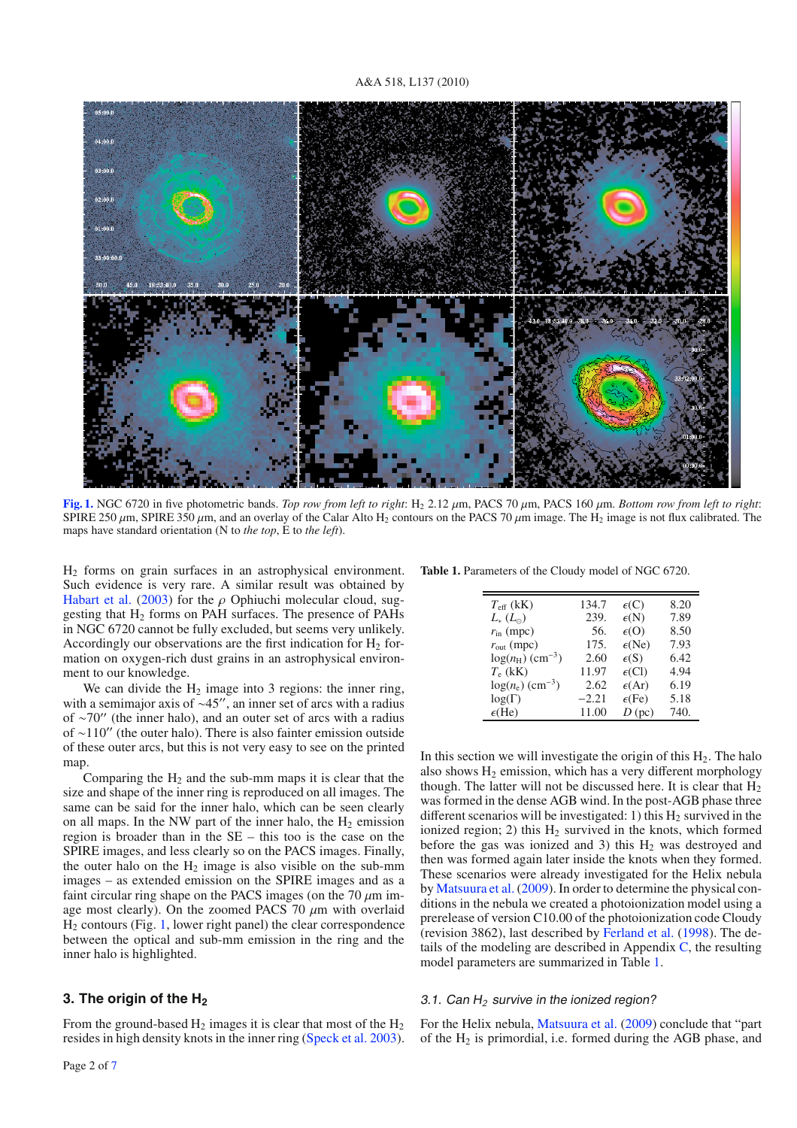

<span id="page-1-1"></span>**[Fig. 1.](http://dexter.edpsciences.org/applet.php?DOI=10.1051/0004-6361/201014590&pdf_id=1)** NGC 6720 in five photometric bands. *Top row from left to right*: H2 2.12 μm, PACS 70 μm, PACS 160 μm. *Bottom row from left to right*: SPIRE 250  $\mu$ m, SPIRE 350  $\mu$ m, and an overlay of the Calar Alto H<sub>2</sub> contours on the PACS 70  $\mu$ m image. The H<sub>2</sub> image is not flux calibrated. The maps have standard orientation (N to *the top*, E to *the left*).

H2 forms on grain surfaces in an astrophysical environment. Such evidence is very rare. A similar result was obtained by [Habart et al.](#page-3-7) [\(2003\)](#page-3-7) for the  $\rho$  Ophiuchi molecular cloud, suggesting that  $H_2$  forms on PAH surfaces. The presence of PAHs in NGC 6720 cannot be fully excluded, but seems very unlikely. Accordingly our observations are the first indication for  $H_2$  formation on oxygen-rich dust grains in an astrophysical environment to our knowledge.

We can divide the  $H_2$  image into 3 regions: the inner ring, with a semimajor axis of  $\sim$ 45", an inner set of arcs with a radius of ∼70" (the inner halo), and an outer set of arcs with a radius of ∼110" (the outer halo). There is also fainter emission outside of these outer arcs, but this is not very easy to see on the printed map.

Comparing the  $H_2$  and the sub-mm maps it is clear that the size and shape of the inner ring is reproduced on all images. The same can be said for the inner halo, which can be seen clearly on all maps. In the NW part of the inner halo, the  $H_2$  emission region is broader than in the SE – this too is the case on the SPIRE images, and less clearly so on the PACS images. Finally, the outer halo on the  $H_2$  image is also visible on the sub-mm images – as extended emission on the SPIRE images and as a faint circular ring shape on the PACS images (on the  $70 \mu m$  image most clearly). On the zoomed PACS 70  $\mu$ m with overlaid  $H<sub>2</sub>$  contours (Fig. [1,](#page-1-1) lower right panel) the clear correspondence between the optical and sub-mm emission in the ring and the inner halo is highlighted.

# <span id="page-1-0"></span>**3. The origin of the H2**

From the ground-based  $H_2$  images it is clear that most of the  $H_2$ resides in high density knots in the inner ring [\(Speck et al. 2003](#page-3-8)).

<span id="page-1-2"></span>**Table 1.** Parameters of the Cloudy model of NGC 6720.

| $T_{\text{eff}}$ (kK)          | 134.7   | $\epsilon(C)$   | 8.20 |
|--------------------------------|---------|-----------------|------|
| $L_{*}\left( L_{\odot}\right)$ | 239.    | $\epsilon(N)$   | 7.89 |
| $r_{\rm in}$ (mpc)             | 56.     | $\epsilon$ (O)  | 8.50 |
| $r_{\text{out}}$ (mpc)         | 175.    | $\epsilon$ (Ne) | 7.93 |
| $log(n_H)$ (cm <sup>-3</sup> ) | 2.60    | $\epsilon(S)$   | 6.42 |
| $T_e$ (kK)                     | 11.97   | $\epsilon$ (Cl) | 4.94 |
| $log(n_e)$ (cm <sup>-3</sup> ) | 2.62    | $\epsilon$ (Ar) | 6.19 |
| $log(\Gamma)$                  | $-2.21$ | $\epsilon$ (Fe) | 5.18 |
| $\epsilon$ (He)                | 11.00   | $D$ (pc)        | 740. |
|                                |         |                 |      |

In this section we will investigate the origin of this  $H_2$ . The halo also shows  $H_2$  emission, which has a very different morphology though. The latter will not be discussed here. It is clear that  $H_2$ was formed in the dense AGB wind. In the post-AGB phase three different scenarios will be investigated: 1) this  $H_2$  survived in the ionized region; 2) this  $H_2$  survived in the knots, which formed before the gas was ionized and 3) this  $H_2$  was destroyed and then was formed again later inside the knots when they formed. These scenarios were already investigated for the Helix nebula by [Matsuura et al.](#page-3-9) [\(2009\)](#page-3-9). In order to determine the physical conditions in the nebula we created a photoionization model using a prerelease of version C10.00 of the photoionization code Cloudy (revision 3862), last described by [Ferland et al.](#page-3-10) [\(1998](#page-3-10)). The details of the modeling are described in Appendix  $C$ , the resulting model parameters are summarized in Table [1.](#page-1-2)

#### <span id="page-1-3"></span>3.1. Can <sup>H</sup>*<sup>2</sup>* survive in the ionized region?

For the Helix nebula, [Matsuura et al.](#page-3-9) [\(2009\)](#page-3-9) conclude that "part of the  $H_2$  is primordial, i.e. formed during the AGB phase, and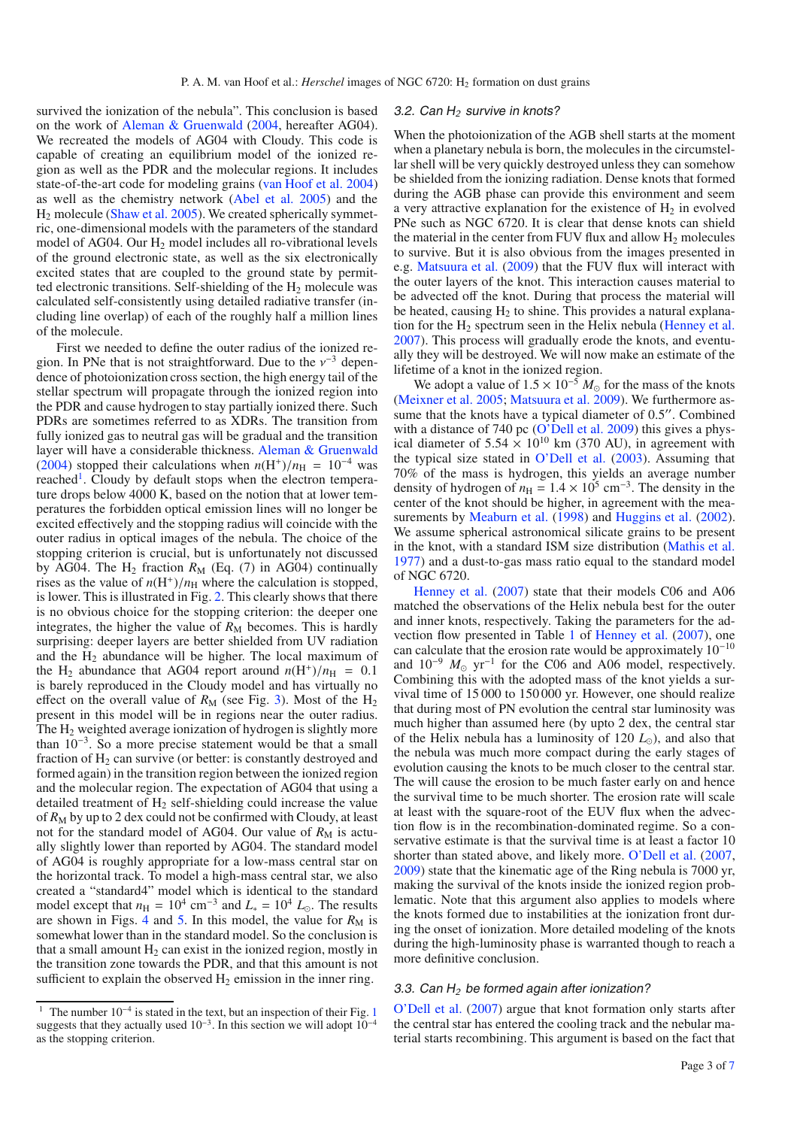survived the ionization of the nebula". This conclusion is based on the work of [Aleman & Gruenwald](#page-3-11) [\(2004,](#page-3-11) hereafter AG04). We recreated the models of AG04 with Cloudy. This code is capable of creating an equilibrium model of the ionized region as well as the PDR and the molecular regions. It includes state-of-the-art code for modeling grains [\(van Hoof et al. 2004\)](#page-3-12) as well as the chemistry network [\(Abel et al. 2005\)](#page-3-13) and the H2 molecule [\(Shaw et al. 2005\)](#page-3-14). We created spherically symmetric, one-dimensional models with the parameters of the standard model of AG04. Our  $H_2$  model includes all ro-vibrational levels of the ground electronic state, as well as the six electronically excited states that are coupled to the ground state by permitted electronic transitions. Self-shielding of the  $H_2$  molecule was calculated self-consistently using detailed radiative transfer (including line overlap) of each of the roughly half a million lines of the molecule.

First we needed to define the outer radius of the ionized region. In PNe that is not straightforward. Due to the  $v^{-3}$  dependence of photoionization cross section, the high energy tail of the stellar spectrum will propagate through the ionized region into the PDR and cause hydrogen to stay partially ionized there. Such PDRs are sometimes referred to as XDRs. The transition from fully ionized gas to neutral gas will be gradual and the transition layer will have a considerable thickness. [Aleman & Gruenwald](#page-3-11) [\(2004\)](#page-3-11) stopped their calculations when  $n(H^+)/n_H = 10^{-4}$  was reached<sup>[1](#page-2-0)</sup>. Cloudy by default stops when the electron temperature drops below 4000 K, based on the notion that at lower temperatures the forbidden optical emission lines will no longer be excited effectively and the stopping radius will coincide with the outer radius in optical images of the nebula. The choice of the stopping criterion is crucial, but is unfortunately not discussed by AG04. The  $H_2$  fraction  $R_M$  (Eq. (7) in AG04) continually rises as the value of  $n(H^+)/n_H$  where the calculation is stopped, is lower. This is illustrated in Fig. [2.](#page-5-0) This clearly shows that there is no obvious choice for the stopping criterion: the deeper one integrates, the higher the value of  $R_M$  becomes. This is hardly surprising: deeper layers are better shielded from UV radiation and the  $H_2$  abundance will be higher. The local maximum of the H<sub>2</sub> abundance that AG04 report around  $n(H^+)/n_H = 0.1$ is barely reproduced in the Cloudy model and has virtually no effect on the overall value of  $R_M$  (see Fig. [3\)](#page-5-3). Most of the  $H_2$ present in this model will be in regions near the outer radius. The  $H_2$  weighted average ionization of hydrogen is slightly more than 10−3. So a more precise statement would be that a small fraction of  $H<sub>2</sub>$  can survive (or better: is constantly destroyed and formed again) in the transition region between the ionized region and the molecular region. The expectation of AG04 that using a detailed treatment of  $H_2$  self-shielding could increase the value of  $R_M$  by up to 2 dex could not be confirmed with Cloudy, at least not for the standard model of AG04. Our value of  $R_M$  is actually slightly lower than reported by AG04. The standard model of AG04 is roughly appropriate for a low-mass central star on the horizontal track. To model a high-mass central star, we also created a "standard4" model which is identical to the standard model except that  $n_H = 10^4$  cm<sup>-3</sup> and  $L_* = 10^4$   $L_{\odot}$ . The results are shown in Figs. [4](#page-5-4) and [5.](#page-5-5) In this model, the value for  $R_M$  is somewhat lower than in the standard model. So the conclusion is that a small amount  $H_2$  can exist in the ionized region, mostly in the transition zone towards the PDR, and that this amount is not sufficient to explain the observed  $H_2$  emission in the inner ring.

#### 3.2. Can <sup>H</sup>*<sup>2</sup>* survive in knots?

When the photoionization of the AGB shell starts at the moment when a planetary nebula is born, the molecules in the circumstellar shell will be very quickly destroyed unless they can somehow be shielded from the ionizing radiation. Dense knots that formed during the AGB phase can provide this environment and seem a very attractive explanation for the existence of  $H_2$  in evolved PNe such as NGC 6720. It is clear that dense knots can shield the material in the center from FUV flux and allow  $H_2$  molecules to survive. But it is also obvious from the images presented in e.g. [Matsuura et al.](#page-3-9) [\(2009\)](#page-3-9) that the FUV flux will interact with the outer layers of the knot. This interaction causes material to be advected off the knot. During that process the material will be heated, causing  $H_2$  to shine. This provides a natural explanation for the  $H_2$  spectrum seen in the Helix nebula [\(Henney et al.](#page-3-15) [2007](#page-3-15)). This process will gradually erode the knots, and eventually they will be destroyed. We will now make an estimate of the lifetime of a knot in the ionized region.

We adopt a value of  $1.5 \times 10^{-5}$  *M*<sub>o</sub> for the mass of the knots [\(Meixner et al. 2005;](#page-3-16) [Matsuura et al. 2009](#page-3-9)). We furthermore assume that the knots have a typical diameter of 0.5". Combined with a distance of 740 pc [\(O'Dell et al. 2009](#page-3-17)) this gives a physical diameter of  $5.54 \times 10^{10}$  km (370 AU), in agreement with the typical size stated in [O'Dell et al.](#page-3-18) [\(2003\)](#page-3-18). Assuming that 70% of the mass is hydrogen, this yields an average number density of hydrogen of  $n_H = 1.4 \times 10^5$  cm<sup>-3</sup>. The density in the center of the knot should be higher, in agreement with the mea-surements by [Meaburn et al.](#page-3-19) [\(1998](#page-3-19)) and [Huggins et al.](#page-3-20) [\(2002](#page-3-20)). We assume spherical astronomical silicate grains to be present in the knot, with a standard ISM size distribution [\(Mathis et al.](#page-3-21) [1977](#page-3-21)) and a dust-to-gas mass ratio equal to the standard model [of NGC 6720.](#page-3-15)

Henney et al. [\(2007](#page-3-15)) state that their models C06 and A06 matched the observations of the Helix nebula best for the outer and inner knots, respectively. Taking the parameters for the advection flow presented in Table [1](#page-1-2) of [Henney et al.](#page-3-15) [\(2007\)](#page-3-15), one can calculate that the erosion rate would be approximately  $10^{-10}$ and  $10^{-9}$   $M_{\odot}$  yr<sup>-1</sup> for the C06 and A06 model, respectively. Combining this with the adopted mass of the knot yields a survival time of 15 000 to 150 000 yr. However, one should realize that during most of PN evolution the central star luminosity was much higher than assumed here (by upto 2 dex, the central star of the Helix nebula has a luminosity of 120  $L_{\odot}$ ), and also that the nebula was much more compact during the early stages of evolution causing the knots to be much closer to the central star. The will cause the erosion to be much faster early on and hence the survival time to be much shorter. The erosion rate will scale at least with the square-root of the EUV flux when the advection flow is in the recombination-dominated regime. So a conservative estimate is that the survival time is at least a factor 10 shorter than stated above, and likely more. [O'Dell et al.](#page-3-0) [\(2007](#page-3-0), [2009](#page-3-17)) state that the kinematic age of the Ring nebula is 7000 yr, making the survival of the knots inside the ionized region problematic. Note that this argument also applies to models where the knots formed due to instabilities at the ionization front during the onset of ionization. More detailed modeling of the knots during the high-luminosity phase is warranted though to reach a more definitive conclusion.

### 3.3. Can <sup>H</sup>*<sup>2</sup>* be formed again after ionization?

O'Dell et al. [\(2007\)](#page-3-0) argue that knot formation only starts after the central star has entered the cooling track and the nebular material starts recombining. This argument is based on the fact that

<span id="page-2-0"></span><sup>&</sup>lt;sup>[1](#page-1-1)</sup> The number  $10^{-4}$  is stated in the text, but an inspection of their Fig. 1 suggests that they actually used  $10^{-3}$ . In this section we will adopt  $10^{-4}$ as the stopping criterion.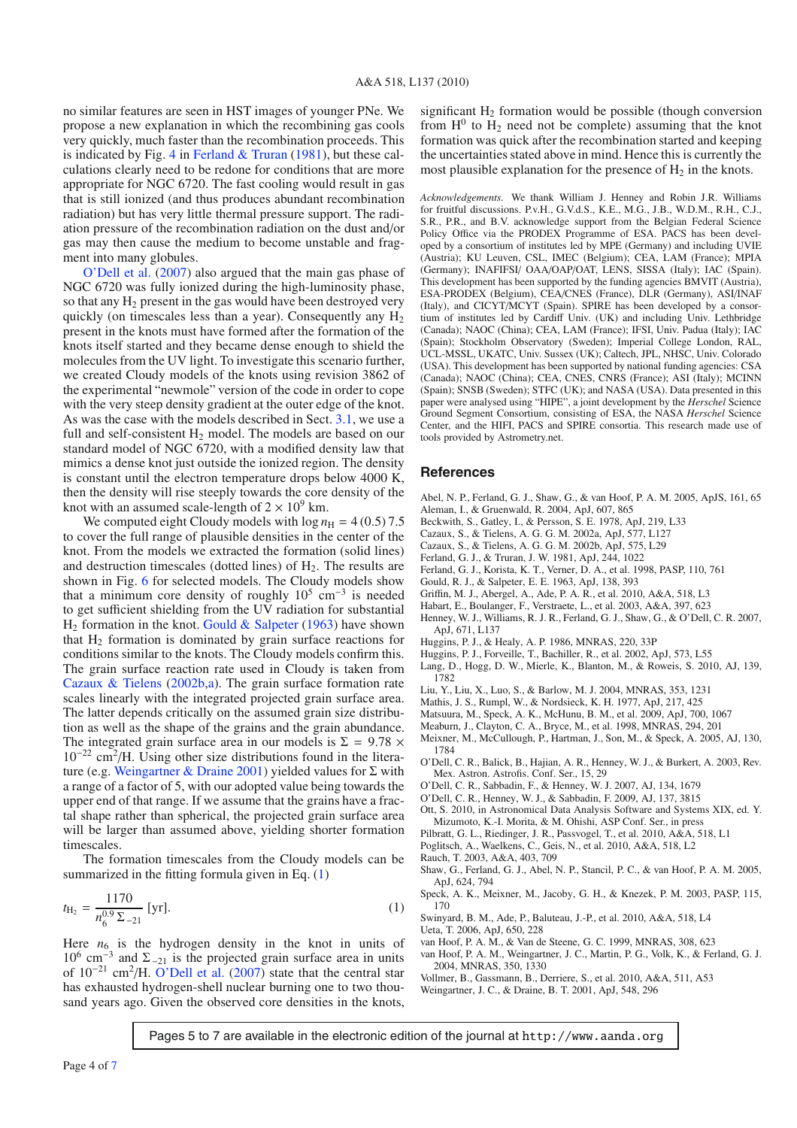no similar features are seen in HST images of younger PNe. We propose a new explanation in which the recombining gas cools very quickly, much faster than the recombination proceeds. This is indicated by Fig. [4](#page-5-4) in [Ferland & Truran](#page-3-22)  $(1981)$ , but these calculations clearly need to be redone for conditions that are more appropriate for NGC 6720. The fast cooling would result in gas that is still ionized (and thus produces abundant recombination radiation) but has very little thermal pressure support. The radiation pressure of the recombination radiation on the dust and/or gas may then cause the medium to become unstable and fragment into many globules.

[O'Dell](#page-3-0) [et](#page-3-0) [al.](#page-3-0) [\(2007\)](#page-3-0) also argued that the main gas phase of NGC 6720 was fully ionized during the high-luminosity phase, so that any  $H_2$  present in the gas would have been destroyed very quickly (on timescales less than a year). Consequently any  $H_2$ present in the knots must have formed after the formation of the knots itself started and they became dense enough to shield the molecules from the UV light. To investigate this scenario further, we created Cloudy models of the knots using revision 3862 of the experimental "newmole" version of the code in order to cope with the very steep density gradient at the outer edge of the knot. As was the case with the models described in Sect. [3.1,](#page-1-3) we use a full and self-consistent  $H_2$  model. The models are based on our standard model of NGC 6720, with a modified density law that mimics a dense knot just outside the ionized region. The density is constant until the electron temperature drops below 4000 K, then the density will rise steeply towards the core density of the knot with an assumed scale-length of  $2 \times 10^9$  km.

We computed eight Cloudy models with  $\log n_H = 4 (0.5) 7.5$ to cover the full range of plausible densities in the center of the knot. From the models we extracted the formation (solid lines) and destruction timescales (dotted lines) of  $H<sub>2</sub>$ . The results are shown in Fig. [6](#page-5-1) for selected models. The Cloudy models show that a minimum core density of roughly  $10^5$  cm<sup>-3</sup> is needed to get sufficient shielding from the UV radiation for substantial  $H<sub>2</sub>$  formation in the knot. [Gould & Salpeter](#page-3-23) [\(1963\)](#page-3-23) have shown that  $H_2$  formation is dominated by grain surface reactions for conditions similar to the knots. The Cloudy models confirm this. The grain surface reaction rate used in Cloudy is taken from [Cazaux & Tielens](#page-3-24) [\(2002b](#page-3-24)[,a\)](#page-3-25). The grain surface formation rate scales linearly with the integrated projected grain surface area. The latter depends critically on the assumed grain size distribution as well as the shape of the grains and the grain abundance. The integrated grain surface area in our models is  $\Sigma = 9.78 \times$  $10^{-22}$  cm<sup>2</sup>/H. Using other size distributions found in the litera-ture (e.g. [Weingartner & Draine 2001\)](#page-3-26) yielded values for  $\Sigma$  with a range of a factor of 5, with our adopted value being towards the upper end of that range. If we assume that the grains have a fractal shape rather than spherical, the projected grain surface area will be larger than assumed above, yielding shorter formation timescales.

<span id="page-3-27"></span>The formation timescales from the Cloudy models can be summarized in the fitting formula given in Eq. [\(1\)](#page-3-27)

$$
t_{\text{H}_2} = \frac{1170}{n_6^{0.9} \,\Sigma_{-21}} \,\text{[yr]}.\tag{1}
$$

Here  $n_6$  is the hydrogen density in the knot in units of  $10^6$  cm<sup>-3</sup> and  $\Sigma$ <sub>-21</sub> is the projected grain surface area in units of 10−<sup>21</sup> cm<sup>2</sup>/H. [O'Dell et al.](#page-3-0) [\(2007\)](#page-3-0) state that the central star has exhausted hydrogen-shell nuclear burning one to two thousand years ago. Given the observed core densities in the knots,

significant  $H<sub>2</sub>$  formation would be possible (though conversion from  $H^0$  to  $H_2$  need not be complete) assuming that the knot formation was quick after the recombination started and keeping the uncertainties stated above in mind. Hence this is currently the most plausible explanation for the presence of  $H_2$  in the knots.

*Acknowledgements.* We thank William J. Henney and Robin J.R. Williams for fruitful discussions. P.v.H., G.V.d.S., K.E., M.G., J.B., W.D.M., R.H., C.J., S.R., P.R., and B.V. acknowledge support from the Belgian Federal Science Policy Office via the PRODEX Programme of ESA. PACS has been developed by a consortium of institutes led by MPE (Germany) and including UVIE (Austria); KU Leuven, CSL, IMEC (Belgium); CEA, LAM (France); MPIA (Germany); INAFIFSI/ OAA/OAP/OAT, LENS, SISSA (Italy); IAC (Spain). This development has been supported by the funding agencies BMVIT (Austria), ESA-PRODEX (Belgium), CEA/CNES (France), DLR (Germany), ASI/INAF (Italy), and CICYT/MCYT (Spain). SPIRE has been developed by a consortium of institutes led by Cardiff Univ. (UK) and including Univ. Lethbridge (Canada); NAOC (China); CEA, LAM (France); IFSI, Univ. Padua (Italy); IAC (Spain); Stockholm Observatory (Sweden); Imperial College London, RAL, UCL-MSSL, UKATC, Univ. Sussex (UK); Caltech, JPL, NHSC, Univ. Colorado (USA). This development has been supported by national funding agencies: CSA (Canada); NAOC (China); CEA, CNES, CNRS (France); ASI (Italy); MCINN (Spain); SNSB (Sweden); STFC (UK); and NASA (USA). Data presented in this paper were analysed using "HIPE", a joint development by the *Herschel* Science Ground Segment Consortium, consisting of ESA, the NASA *Herschel* Science Center, and the HIFI, PACS and SPIRE consortia. This research made use of tools provided by Astrometry.net.

#### **References**

- <span id="page-3-13"></span>Abel, N. P., Ferland, G. J., Shaw, G., & van Hoof, P. A. M. 2005, ApJS, 161, 65 Aleman, I., & Gruenwald, R. 2004, ApJ, 607, 865
- <span id="page-3-11"></span>Beckwith, S., Gatley, I., & Persson, S. E. 1978, ApJ, 219, L33
- <span id="page-3-25"></span><span id="page-3-1"></span>Cazaux, S., & Tielens, A. G. G. M. 2002a, ApJ, 577, L127
- Cazaux, S., & Tielens, A. G. G. M. 2002b, ApJ, 575, L29
- <span id="page-3-24"></span>Ferland, G. J., & Truran, J. W. 1981, ApJ, 244, 1022
- <span id="page-3-22"></span>Ferland, G. J., Korista, K. T., Verner, D. A., et al. 1998, PASP, 110, 761
- 
- <span id="page-3-23"></span><span id="page-3-10"></span><span id="page-3-5"></span>Gould, R. J., & Salpeter, E. E. 1963, ApJ, 138, 393
- Griffin, M. J., Abergel, A., Ade, P. A. R., et al. 2010, A&A, 518, L3
- <span id="page-3-7"></span>Habart, E., Boulanger, F., Verstraete, L., et al. 2003, A&A, 397, 623
- <span id="page-3-15"></span>Henney, W. J., Williams, R. J. R., Ferland, G. J., Shaw, G., & O'Dell, C. R. 2007, ApJ, 671, L137
- Huggins, P. J., & Healy, A. P. 1986, MNRAS, 220, 33P
- <span id="page-3-20"></span><span id="page-3-2"></span>Huggins, P. J., Forveille, T., Bachiller, R., et al. 2002, ApJ, 573, L55
- <span id="page-3-30"></span>Lang, D., Hogg, D. W., Mierle, K., Blanton, M., & Roweis, S. 2010, AJ, 139, 1782
- Liu, Y., Liu, X., Luo, S., & Barlow, M. J. 2004, MNRAS, 353, 1231
- <span id="page-3-33"></span>Mathis, J. S., Rumpl, W., & Nordsieck, K. H. 1977, ApJ, 217, 425

<span id="page-3-21"></span><span id="page-3-19"></span><span id="page-3-9"></span>Matsuura, M., Speck, A. K., McHunu, B. M., et al. 2009, ApJ, 700, 1067

- Meaburn, J., Clayton, C. A., Bryce, M., et al. 1998, MNRAS, 294, 201
- <span id="page-3-16"></span>Meixner, M., McCullough, P., Hartman, J., Son, M., & Speck, A. 2005, AJ, 130, 1784
- <span id="page-3-18"></span>O'Dell, C. R., Balick, B., Hajian, A. R., Henney, W. J., & Burkert, A. 2003, Rev. Mex. Astron. Astrofis. Conf. Ser., 15, 29
- <span id="page-3-0"></span>O'Dell, C. R., Sabbadin, F., & Henney, W. J. 2007, AJ, 134, 1679
- <span id="page-3-17"></span>O'Dell, C. R., Henney, W. J., & Sabbadin, F. 2009, AJ, 137, 3815
- <span id="page-3-28"></span>Ott, S. 2010, in Astronomical Data Analysis Software and Systems XIX, ed. Y. Mizumoto, K.-I. Morita, & M. Ohishi, ASP Conf. Ser., in press
- Pilbratt, G. L., Riedinger, J. R., Passvogel, T., et al. 2010, A&A, 518, L1
- Poglitsch, A., Waelkens, C., Geis, N., et al. 2010, A&A, 518, L2
- <span id="page-3-32"></span><span id="page-3-4"></span><span id="page-3-3"></span>Rauch, T. 2003, A&A, 403, 709
- Shaw, G., Ferland, G. J., Abel, N. P., Stancil, P. C., & van Hoof, P. A. M. 2005, ApJ, 624, 794
- <span id="page-3-14"></span>Speck, A. K., Meixner, M., Jacoby, G. H., & Knezek, P. M. 2003, PASP, 115, 170

<span id="page-3-31"></span><span id="page-3-29"></span><span id="page-3-8"></span><span id="page-3-6"></span>Swinyard, B. M., Ade, P., Baluteau, J.-P., et al. 2010, A&A, 518, L4 Ueta, T. 2006, ApJ, 650, 228

- <span id="page-3-12"></span>van Hoof, P. A. M., & Van de Steene, G. C. 1999, MNRAS, 308, 623
- van Hoof, P. A. M., Weingartner, J. C., Martin, P. G., Volk, K., & Ferland, G. J. 2004, MNRAS, 350, 1330
- <span id="page-3-34"></span><span id="page-3-26"></span>Vollmer, B., Gassmann, B., Derriere, S., et al. 2010, A&A, 511, A53 Weingartner, J. C., & Draine, B. T. 2001, ApJ, 548, 296

Pages 5 to 7 are available in the electronic edition of the journal at http://www.aanda.org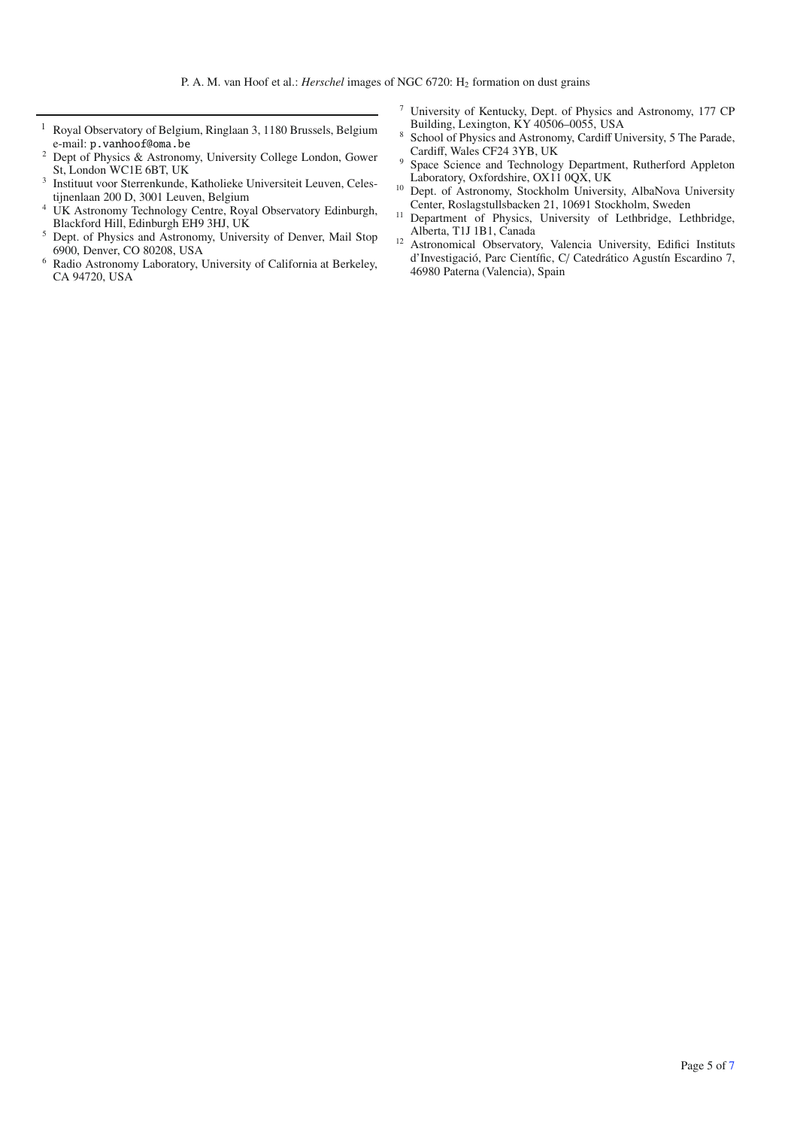- <sup>1</sup> Royal Observatory of Belgium, Ringlaan 3, 1180 Brussels, Belgium e-mail: p.vanhoof@oma.be
- <sup>2</sup> Dept of Physics & Astronomy, University College London, Gower St, London WC1E 6BT, UK
- <sup>3</sup> Instituut voor Sterrenkunde, Katholieke Universiteit Leuven, Celestijnenlaan 200 D, 3001 Leuven, Belgium
- <sup>4</sup> UK Astronomy Technology Centre, Royal Observatory Edinburgh, Blackford Hill, Edinburgh EH9 3HJ, UK
- <sup>5</sup> Dept. of Physics and Astronomy, University of Denver, Mail Stop 6900, Denver, CO 80208, USA
- <sup>6</sup> Radio Astronomy Laboratory, University of California at Berkeley, CA 94720, USA
- <sup>7</sup> University of Kentucky, Dept. of Physics and Astronomy, 177 CP Building, Lexington, KY 40506–0055, USA
- 8 School of Physics and Astronomy, Cardiff University, 5 The Parade, Cardiff, Wales CF24 3YB, UK
- <sup>9</sup> Space Science and Technology Department, Rutherford Appleton Laboratory, Oxfordshire, OX11 0QX, UK
- <sup>10</sup> Dept. of Astronomy, Stockholm University, AlbaNova University Center, Roslagstullsbacken 21, 10691 Stockholm, Sweden
- <sup>11</sup> Department of Physics, University of Lethbridge, Lethbridge, Alberta, T1J 1B1, Canada
- <sup>12</sup> Astronomical Observatory, Valencia University, Edifici Instituts d'Investigació, Parc Científic, C/ Catedrático Agustín Escardino 7, 46980 Paterna (Valencia), Spain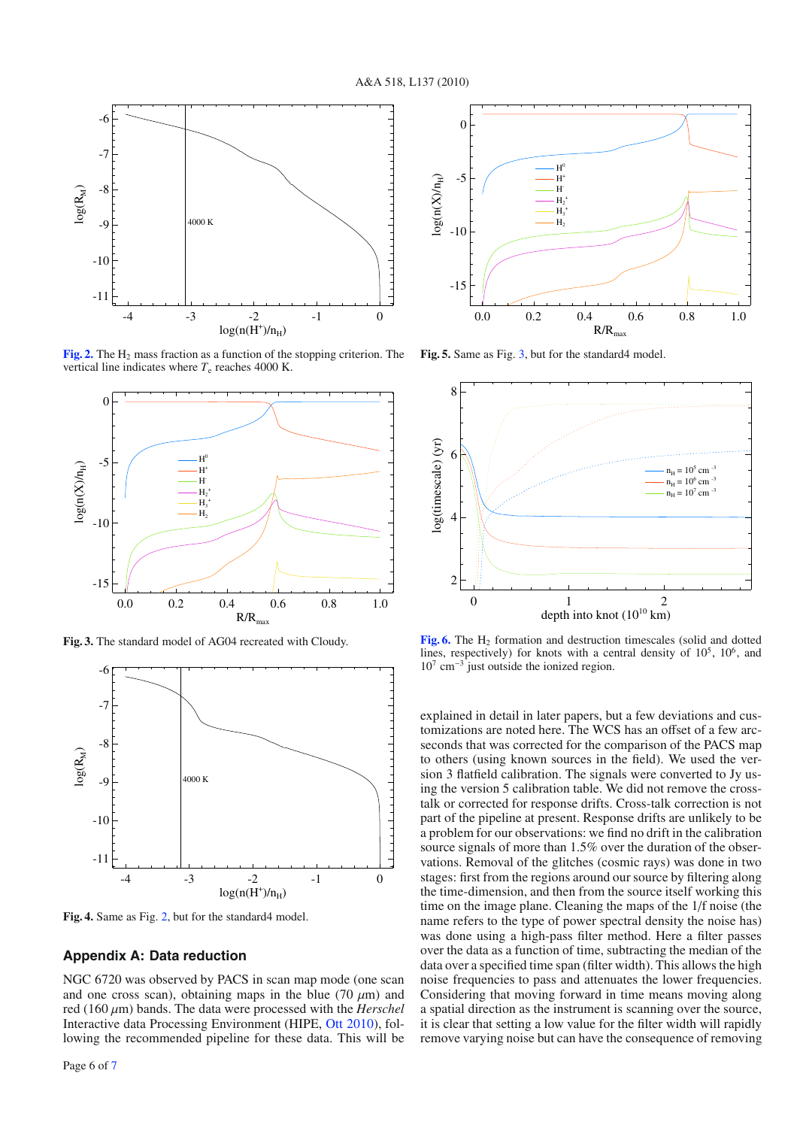<span id="page-5-0"></span>

**[Fig. 2.](http://dexter.edpsciences.org/applet.php?DOI=10.1051/0004-6361/201014590&pdf_id=2)** The H<sub>2</sub> mass fraction as a function of the stopping criterion. The vertical line indicates where  $T_e$  reaches 4000 K.

<span id="page-5-3"></span>

**Fig. 3.** The standard model of AG04 recreated with Cloudy.

<span id="page-5-4"></span>

**Fig. 4.** Same as Fig. [2,](#page-5-0) but for the standard4 model.

#### <span id="page-5-2"></span>**Appendix A: Data reduction**

NGC 6720 was observed by PACS in scan map mode (one scan and one cross scan), obtaining maps in the blue (70  $\mu$ m) and red (160 μm) bands. The data were processed with the *Herschel* Interactive data Processing Environment (HIPE, [Ott 2010](#page-3-28)), following the recommended pipeline for these data. This will be

<span id="page-5-5"></span>

**Fig. 5.** Same as Fig. [3,](#page-5-3) but for the standard4 model.

<span id="page-5-1"></span>

**[Fig. 6.](http://dexter.edpsciences.org/applet.php?DOI=10.1051/0004-6361/201014590&pdf_id=6)** The H<sub>2</sub> formation and destruction timescales (solid and dotted lines, respectively) for knots with a central density of  $10^5$ ,  $10^6$ , and  $10^7$  cm<sup>-3</sup> just outside the ionized region.

explained in detail in later papers, but a few deviations and customizations are noted here. The WCS has an offset of a few arcseconds that was corrected for the comparison of the PACS map to others (using known sources in the field). We used the version 3 flatfield calibration. The signals were converted to Jy using the version 5 calibration table. We did not remove the crosstalk or corrected for response drifts. Cross-talk correction is not part of the pipeline at present. Response drifts are unlikely to be a problem for our observations: we find no drift in the calibration source signals of more than 1.5% over the duration of the observations. Removal of the glitches (cosmic rays) was done in two stages: first from the regions around our source by filtering along the time-dimension, and then from the source itself working this time on the image plane. Cleaning the maps of the 1/f noise (the name refers to the type of power spectral density the noise has) was done using a high-pass filter method. Here a filter passes over the data as a function of time, subtracting the median of the data over a specified time span (filter width). This allows the high noise frequencies to pass and attenuates the lower frequencies. Considering that moving forward in time means moving along a spatial direction as the instrument is scanning over the source, it is clear that setting a low value for the filter width will rapidly remove varying noise but can have the consequence of removing